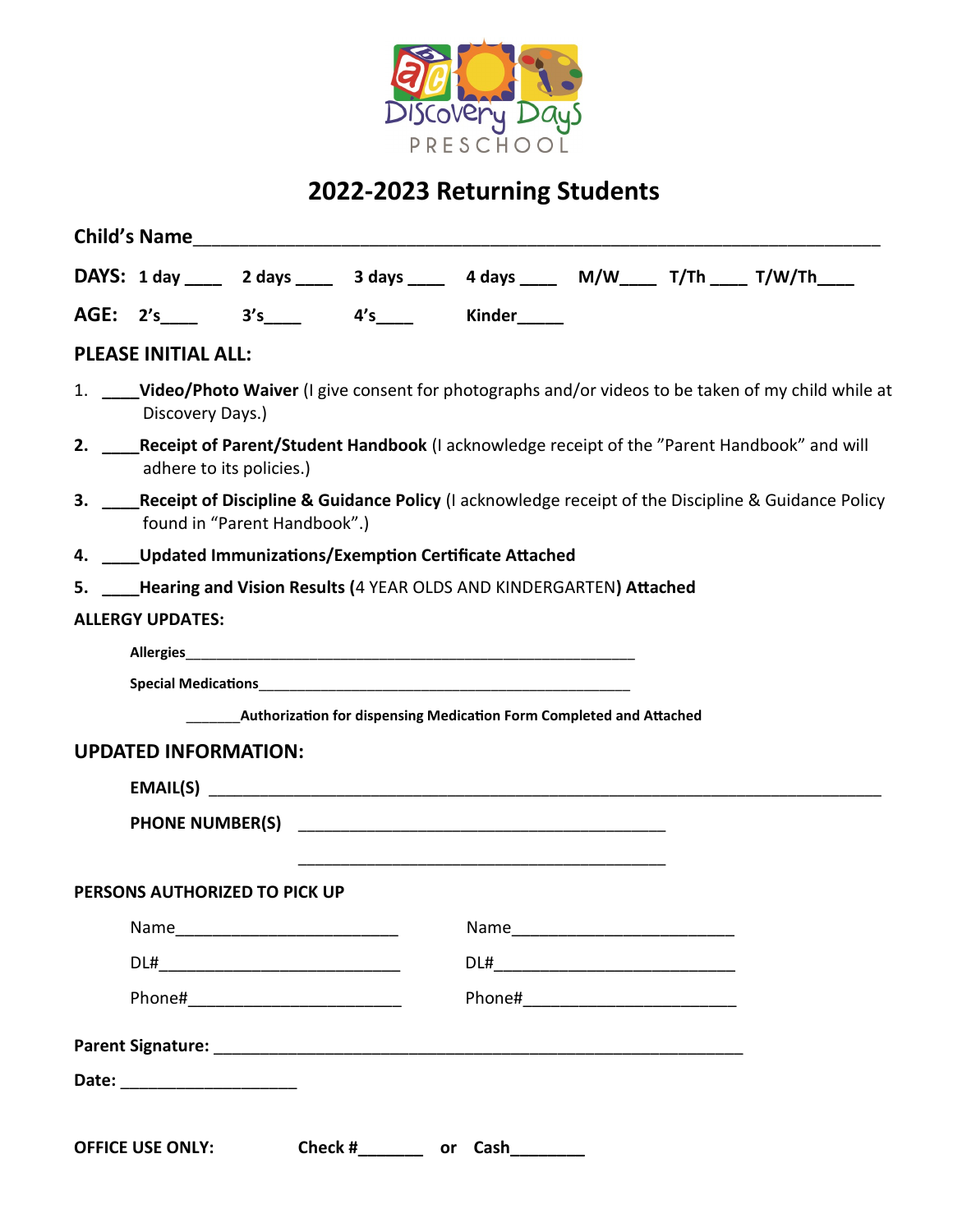

## **2022-2023 Returning Students**

|                                                                                                                                           |  |  |                                                                     |  |  | DAYS: 1 day ____ 2 days ____ 3 days ____ 4 days ____ M/W____ T/Th ____ T/W/Th ___ |  |
|-------------------------------------------------------------------------------------------------------------------------------------------|--|--|---------------------------------------------------------------------|--|--|-----------------------------------------------------------------------------------|--|
|                                                                                                                                           |  |  | AGE: 2's_____ 3's_____ 4's____ Kinder_____                          |  |  |                                                                                   |  |
| <b>PLEASE INITIAL ALL:</b>                                                                                                                |  |  |                                                                     |  |  |                                                                                   |  |
| 1. _____Video/Photo Waiver (I give consent for photographs and/or videos to be taken of my child while at<br>Discovery Days.)             |  |  |                                                                     |  |  |                                                                                   |  |
| 2. Receipt of Parent/Student Handbook (I acknowledge receipt of the "Parent Handbook" and will<br>adhere to its policies.)                |  |  |                                                                     |  |  |                                                                                   |  |
| 3. ____Receipt of Discipline & Guidance Policy (I acknowledge receipt of the Discipline & Guidance Policy<br>found in "Parent Handbook".) |  |  |                                                                     |  |  |                                                                                   |  |
| 4. ____Updated Immunizations/Exemption Certificate Attached                                                                               |  |  |                                                                     |  |  |                                                                                   |  |
| 5. Hearing and Vision Results (4 YEAR OLDS AND KINDERGARTEN) Attached                                                                     |  |  |                                                                     |  |  |                                                                                   |  |
| <b>ALLERGY UPDATES:</b>                                                                                                                   |  |  |                                                                     |  |  |                                                                                   |  |
|                                                                                                                                           |  |  |                                                                     |  |  |                                                                                   |  |
| <b>UPDATED INFORMATION:</b>                                                                                                               |  |  | Authorization for dispensing Medication Form Completed and Attached |  |  |                                                                                   |  |
|                                                                                                                                           |  |  | EMAIL(S)                                                            |  |  |                                                                                   |  |
|                                                                                                                                           |  |  |                                                                     |  |  |                                                                                   |  |
| PERSONS AUTHORIZED TO PICK UP                                                                                                             |  |  |                                                                     |  |  |                                                                                   |  |
|                                                                                                                                           |  |  |                                                                     |  |  |                                                                                   |  |
|                                                                                                                                           |  |  |                                                                     |  |  |                                                                                   |  |
|                                                                                                                                           |  |  |                                                                     |  |  |                                                                                   |  |
| Phone#____________________________                                                                                                        |  |  |                                                                     |  |  |                                                                                   |  |
|                                                                                                                                           |  |  |                                                                     |  |  |                                                                                   |  |